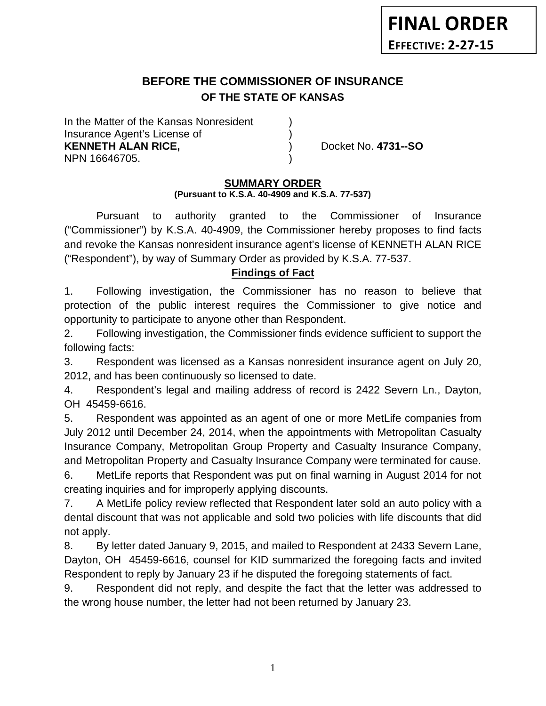# **BEFORE THE COMMISSIONER OF INSURANCE OF THE STATE OF KANSAS**

In the Matter of the Kansas Nonresident Insurance Agent's License of ) **KENNETH ALAN RICE,** ) Docket No. **4731--SO** NPN 16646705. )

## **SUMMARY ORDER**

### **(Pursuant to K.S.A. 40-4909 and K.S.A. 77-537)**

Pursuant to authority granted to the Commissioner of Insurance ("Commissioner") by K.S.A. 40-4909, the Commissioner hereby proposes to find facts and revoke the Kansas nonresident insurance agent's license of KENNETH ALAN RICE ("Respondent"), by way of Summary Order as provided by K.S.A. 77-537.

## **Findings of Fact**

1. Following investigation, the Commissioner has no reason to believe that protection of the public interest requires the Commissioner to give notice and opportunity to participate to anyone other than Respondent.

2. Following investigation, the Commissioner finds evidence sufficient to support the following facts:

3. Respondent was licensed as a Kansas nonresident insurance agent on July 20, 2012, and has been continuously so licensed to date.

4. Respondent's legal and mailing address of record is 2422 Severn Ln., Dayton, OH 45459-6616.

5. Respondent was appointed as an agent of one or more MetLife companies from July 2012 until December 24, 2014, when the appointments with Metropolitan Casualty Insurance Company, Metropolitan Group Property and Casualty Insurance Company, and Metropolitan Property and Casualty Insurance Company were terminated for cause.

6. MetLife reports that Respondent was put on final warning in August 2014 for not creating inquiries and for improperly applying discounts.

7. A MetLife policy review reflected that Respondent later sold an auto policy with a dental discount that was not applicable and sold two policies with life discounts that did not apply.

8. By letter dated January 9, 2015, and mailed to Respondent at 2433 Severn Lane, Dayton, OH 45459-6616, counsel for KID summarized the foregoing facts and invited Respondent to reply by January 23 if he disputed the foregoing statements of fact.

9. Respondent did not reply, and despite the fact that the letter was addressed to the wrong house number, the letter had not been returned by January 23.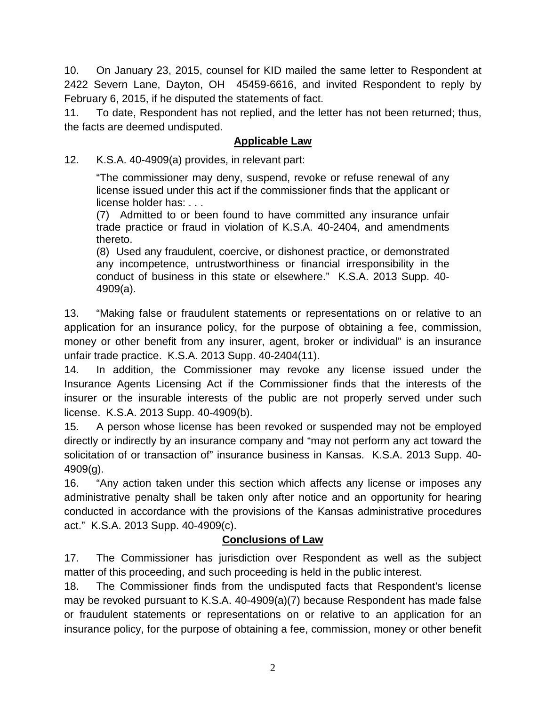10. On January 23, 2015, counsel for KID mailed the same letter to Respondent at 2422 Severn Lane, Dayton, OH 45459-6616, and invited Respondent to reply by February 6, 2015, if he disputed the statements of fact.

11. To date, Respondent has not replied, and the letter has not been returned; thus, the facts are deemed undisputed.

## **Applicable Law**

12. K.S.A. 40-4909(a) provides, in relevant part:

"The commissioner may deny, suspend, revoke or refuse renewal of any license issued under this act if the commissioner finds that the applicant or license holder has: . . .

(7) Admitted to or been found to have committed any insurance unfair trade practice or fraud in violation of K.S.A. 40-2404, and amendments thereto.

(8) Used any fraudulent, coercive, or dishonest practice, or demonstrated any incompetence, untrustworthiness or financial irresponsibility in the conduct of business in this state or elsewhere." K.S.A. 2013 Supp. 40- 4909(a).

13. "Making false or fraudulent statements or representations on or relative to an application for an insurance policy, for the purpose of obtaining a fee, commission, money or other benefit from any insurer, agent, broker or individual" is an insurance unfair trade practice. K.S.A. 2013 Supp. 40-2404(11).

14. In addition, the Commissioner may revoke any license issued under the Insurance Agents Licensing Act if the Commissioner finds that the interests of the insurer or the insurable interests of the public are not properly served under such license. K.S.A. 2013 Supp. 40-4909(b).

15. A person whose license has been revoked or suspended may not be employed directly or indirectly by an insurance company and "may not perform any act toward the solicitation of or transaction of" insurance business in Kansas. K.S.A. 2013 Supp. 40- 4909(g).

16. "Any action taken under this section which affects any license or imposes any administrative penalty shall be taken only after notice and an opportunity for hearing conducted in accordance with the provisions of the Kansas administrative procedures act." K.S.A. 2013 Supp. 40-4909(c).

## **Conclusions of Law**

17. The Commissioner has jurisdiction over Respondent as well as the subject matter of this proceeding, and such proceeding is held in the public interest.

18. The Commissioner finds from the undisputed facts that Respondent's license may be revoked pursuant to K.S.A. 40-4909(a)(7) because Respondent has made false or fraudulent statements or representations on or relative to an application for an insurance policy, for the purpose of obtaining a fee, commission, money or other benefit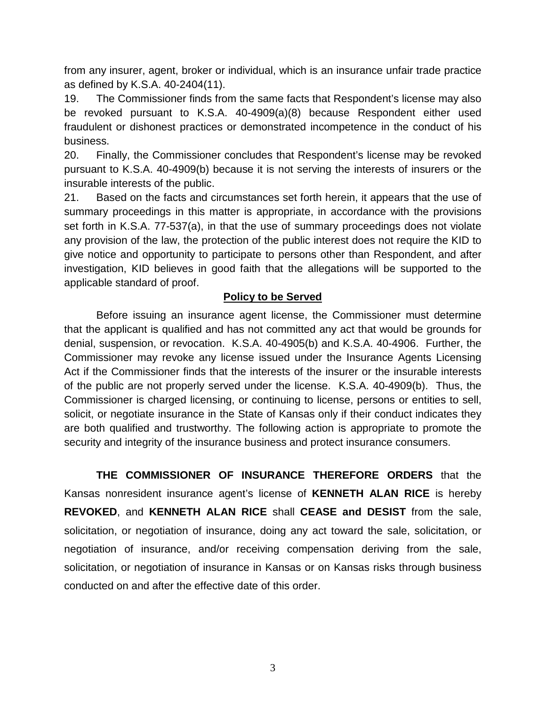from any insurer, agent, broker or individual, which is an insurance unfair trade practice as defined by K.S.A. 40-2404(11).

19. The Commissioner finds from the same facts that Respondent's license may also be revoked pursuant to K.S.A. 40-4909(a)(8) because Respondent either used fraudulent or dishonest practices or demonstrated incompetence in the conduct of his business.

20. Finally, the Commissioner concludes that Respondent's license may be revoked pursuant to K.S.A. 40-4909(b) because it is not serving the interests of insurers or the insurable interests of the public.

21. Based on the facts and circumstances set forth herein, it appears that the use of summary proceedings in this matter is appropriate, in accordance with the provisions set forth in K.S.A. 77-537(a), in that the use of summary proceedings does not violate any provision of the law, the protection of the public interest does not require the KID to give notice and opportunity to participate to persons other than Respondent, and after investigation, KID believes in good faith that the allegations will be supported to the applicable standard of proof.

## **Policy to be Served**

Before issuing an insurance agent license, the Commissioner must determine that the applicant is qualified and has not committed any act that would be grounds for denial, suspension, or revocation. K.S.A. 40-4905(b) and K.S.A. 40-4906. Further, the Commissioner may revoke any license issued under the Insurance Agents Licensing Act if the Commissioner finds that the interests of the insurer or the insurable interests of the public are not properly served under the license. K.S.A. 40-4909(b). Thus, the Commissioner is charged licensing, or continuing to license, persons or entities to sell, solicit, or negotiate insurance in the State of Kansas only if their conduct indicates they are both qualified and trustworthy. The following action is appropriate to promote the security and integrity of the insurance business and protect insurance consumers.

**THE COMMISSIONER OF INSURANCE THEREFORE ORDERS** that the Kansas nonresident insurance agent's license of **KENNETH ALAN RICE** is hereby **REVOKED**, and **KENNETH ALAN RICE** shall **CEASE and DESIST** from the sale, solicitation, or negotiation of insurance, doing any act toward the sale, solicitation, or negotiation of insurance, and/or receiving compensation deriving from the sale, solicitation, or negotiation of insurance in Kansas or on Kansas risks through business conducted on and after the effective date of this order.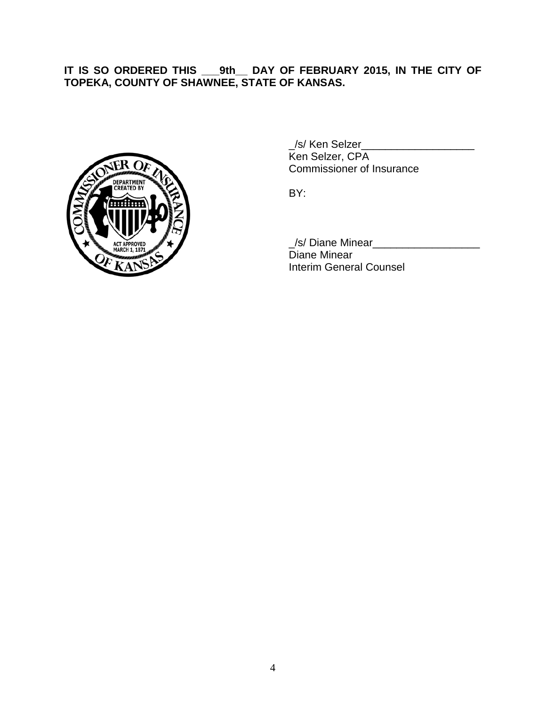## **IT IS SO ORDERED THIS \_\_\_9th\_\_ DAY OF FEBRUARY 2015, IN THE CITY OF TOPEKA, COUNTY OF SHAWNEE, STATE OF KANSAS.**



\_/s/ Ken Selzer\_\_\_\_\_\_\_\_\_\_\_\_\_\_\_\_\_\_\_ Ken Selzer, CPA Commissioner of Insurance

BY:

\_/s/ Diane Minear\_\_\_\_\_\_\_\_\_\_\_\_\_\_\_\_\_\_ Diane Minear Interim General Counsel